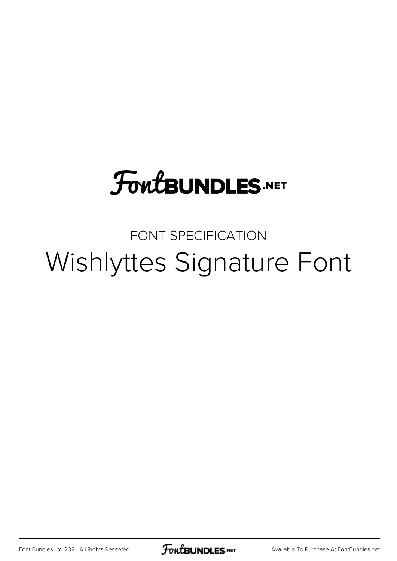## **FoutBUNDLES.NET**

## FONT SPECIFICATION Wishlyttes Signature Font

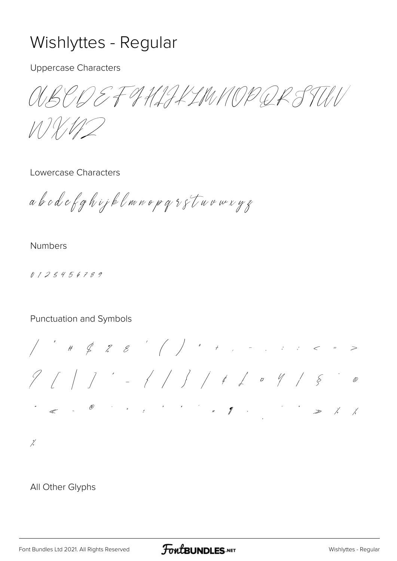## Wishlyttes - Regular

**Uppercase Characters** 

OUSEN EF 9 HLIK LIWN OP QR STILI

 $111$ 

Lowercase Characters

abodefghijklmnopqsstuvuxyz

**Numbers** 

0123456789

## Punctuation and Symbols

 $9117 - 1111 + 1111$  $\mathscr{O}$ 

 $\frac{\gamma}{\sqrt{2}}$ 

All Other Glyphs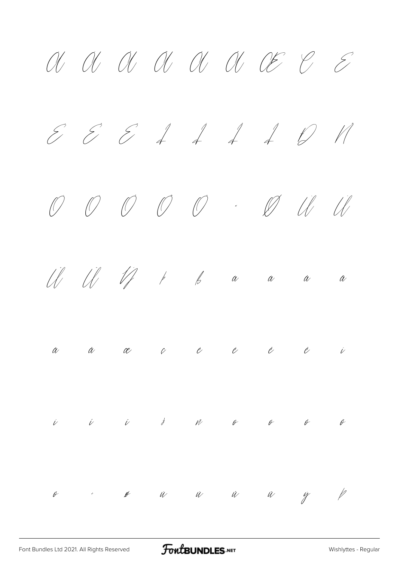$A$   $A$   $B$   $C$   $C$   $D$   $E$   $E$   $E$  $E$   $E$   $I$   $I$   $I$   $D$   $N$ Ò Ó Ô Õ Ö × Ø Ù Ú Û Ü Ý Þ ß à á â ã  $\alpha$   $\alpha$   $\alpha$  è è è è ì  $\begin{array}{cccccccccccccccccc} i & & i & & j & & N & & \theta & & \theta & & \theta & & \theta \end{array}$ ö ÷ ø ù ú û ü ý þ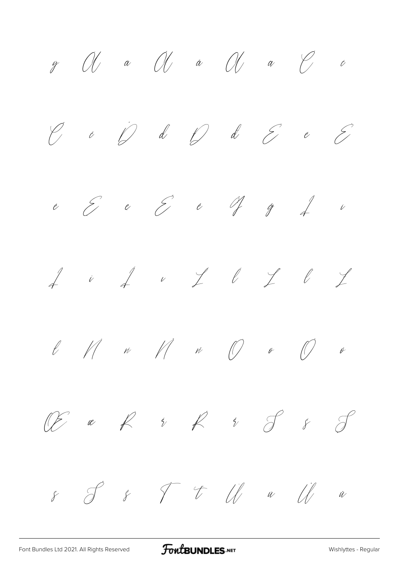$\mathscr{Y}$   $\mathscr{U}$   $\mathscr{U}$   $\mathscr{U}$   $\mathscr{U}$   $\mathscr{U}$   $\mathscr{U}$   $\mathscr{U}$   $\mathscr{U}$   $\mathscr{U}$   $\mathscr{U}$  $\begin{array}{ccc} \mathcal{C} & \circ & \mathcal{D} & d & \mathcal{D} & d & \mathcal{E} & e & \mathcal{E} \end{array}$  $e$   $\epsilon$   $\epsilon$   $\epsilon$   $\gamma$   $\gamma$   $\ell$   $\iota$  $f$  i  $f$  i  $f$   $\in$   $f$   $\in$   $f$  $\ell$   $\parallel$   $\mu$   $\parallel$   $\mu$   $\parallel$   $\emptyset$   $\emptyset$   $\emptyset$ Œ œ Ŕ ŕ Ř ř Ś ś Ş ş Š š Ť ť Ū ū Ů ů